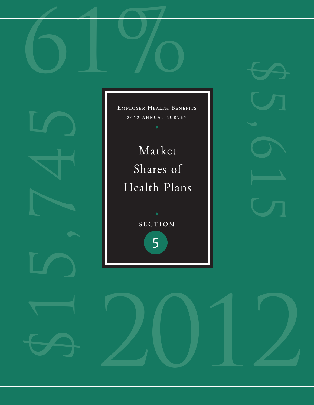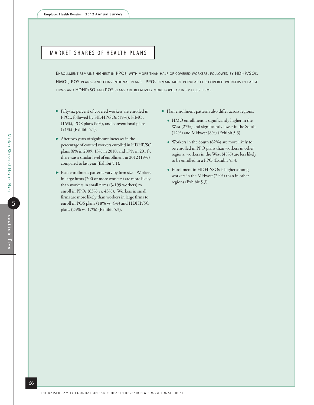# MARKET SHARES OF HEALTH PLANS

Enrollment remains highest in PPOs, with more than half of covered workers, followed by HDHP/SOs, HMOs, POS plans, and conventional plans. PPOs remain more popular for covered workers in large firms and HDHP/SO and POS plans are relatively more popular in smaller firms.

- Fifty-six percent of covered workers are enrolled in PPOs, followed by HDHP/SOs (19%), HMOs (16%), POS plans (9%), and conventional plans (<1%) (Exhibit 5.1).
- After two years of significant increases in the percentage of covered workers enrolled in HDHP/SO plans (8% in 2009, 13% in 2010, and 17% in 2011), there was a similar level of enrollment in 2012 (19%) compared to last year (Exhibit 5.1).
- Plan enrollment patterns vary by firm size. Workers in large firms (200 or more workers) are more likely than workers in small firms (3-199 workers) to enroll in PPOs (63% vs. 43%). Workers in small firms are more likely than workers in large firms to enroll in POS plans (18% vs. 4%) and HDHP/SO plans (24% vs. 17%) (Exhibit 5.3).
- Plan enrollment patterns also differ across regions.
	- HMO enrollment is significantly higher in the West (27%) and significantly lower in the South (12%) and Midwest (8%) (Exhibit 5.3).
	- Workers in the South (62%) are more likely to be enrolled in PPO plans than workers in other regions; workers in the West (48%) are less likely to be enrolled in a PPO (Exhibit 5.3).
	- Enrollment in HDHP/SOs is higher among workers in the Midwest (29%) than in other regions (Exhibit 5.3).

Market Shares of Health Plans

Market Shares of Health Plans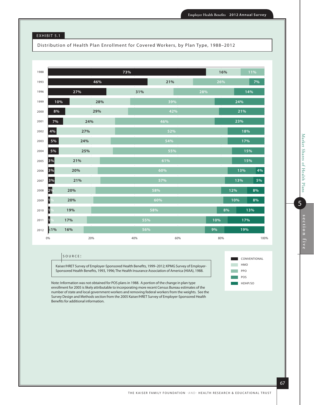### EXHIBIT 5.1

Distribution of Health Plan Enrollment for Covered Workers, by Plan Type, 1988–2012

| 1988 |       |     |     | 73% |     |        | 16% |     | 11%  |  |
|------|-------|-----|-----|-----|-----|--------|-----|-----|------|--|
| 1993 |       |     | 46% |     | 21% |        | 26% |     | 7%   |  |
| 1996 |       | 27% |     |     | 31% | 28%    |     |     | 14%  |  |
| 1999 | 10%   |     | 28% |     | 39% |        |     | 24% |      |  |
| 2000 | 8%    |     | 29% |     | 42% |        |     | 21% |      |  |
| 2001 | 7%    | 24% |     |     | 46% |        |     | 23% |      |  |
| 2002 | 4%    | 27% |     |     | 52% |        |     |     | 18%  |  |
| 2003 | $5\%$ | 24% |     |     | 54% |        |     |     | 17%  |  |
| 2004 | 5%    | 25% |     |     | 55% |        |     |     | 15%  |  |
| 2005 | 3%    | 21% |     |     | 61% |        |     |     | 15%  |  |
| 2006 | 3%    | 20% |     |     | 60% |        |     | 13% | 4%   |  |
| 2007 | 3%    | 21% |     |     | 57% |        |     | 13% | 5%   |  |
| 2008 | 2%    | 20% |     |     | 58% |        |     | 12% | 8%   |  |
| 2009 | 1     | 20% |     |     | 60% |        |     | 10% | 8%   |  |
| 2010 | 19    | 19% |     |     | 58% | $\sim$ |     | 8%  | 13%  |  |
| 2011 | $1\%$ | 17% |     |     | 55% |        | 10% | 17% |      |  |
| 2012 | k1%   | 16% |     |     | 56% |        | 9%  |     | 19%  |  |
|      | 0%    |     | 20% |     | 40% | 60%    | 80% |     | 100% |  |

#### $s$  o u r c e :

Kaiser/HRET Survey of Employer-Sponsored Health Benefits, 1999–2012; KPMG Survey of Employer-Sponsored Health Benefits, 1993, 1996; The Health Insurance Association of America (HIAA), 1988.

Note: Information was not obtained for POS plans in 1988. A portion of the change in plan type enrollment for 2005 is likely attributable to incorporating more recent Census Bureau estimates of the number of state and local government workers and removing federal workers from the weights. See the Survey Design and Methods section from the 2005 Kaiser/HRET Survey of Employer-Sponsored Health Benefits for additional information.



5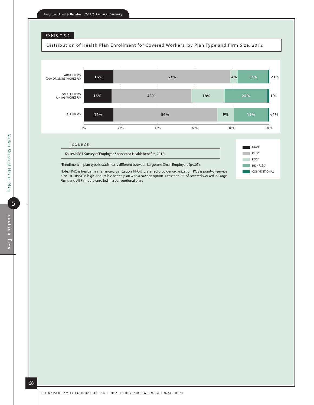

Distribution of Health Plan Enrollment for Covered Workers, by Plan Type and Firm Size, 2012



CONVENTIONAL

\*Enrollment in plan type is statistically different between Large and Small Employers (p<.05).

Note: HMO is health maintenance organization. PPO is preferred provider organization. POS is point-of-service plan. HDHP/SO is high-deductible health plan with a savings option. Less than 1% of covered worked in Large Firms and All Firms are enrolled in a conventional plan.

68

5